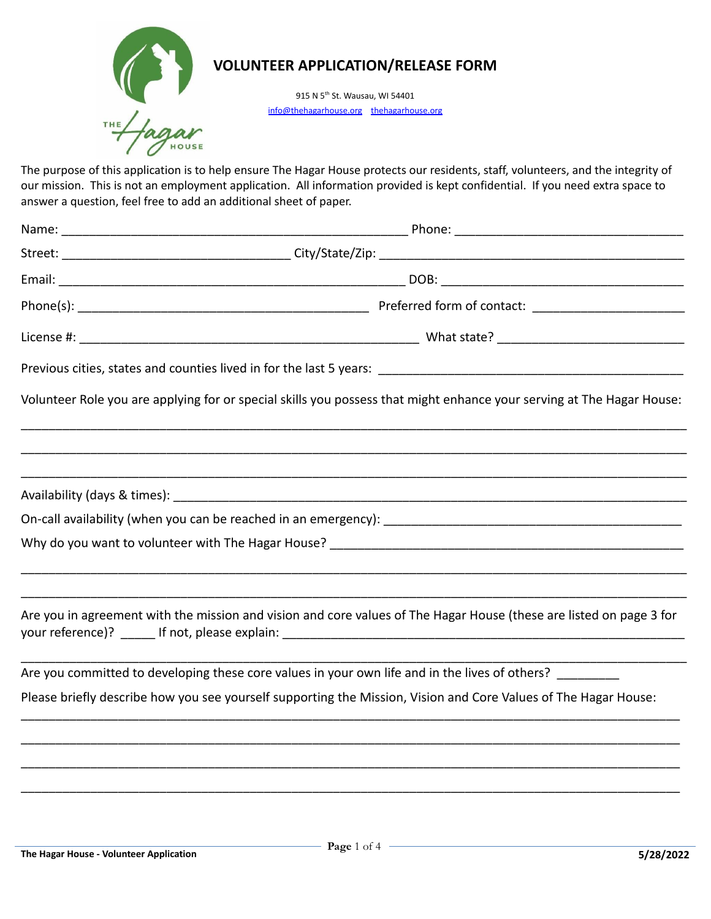

915 N 5<sup>th</sup> St. Wausau, WI 54401 info@[thehagarhouse.org](http://www.thehagarhouse.org/) thehagarhouse.org

 The purpose of this application is to help ensure The Hagar House protects our residents, staff, volunteers, and the integrity of our mission. This is not an employment application. All information provided is kept confidential. If you need extra space to answer a question, feel free to add an additional sheet of paper.

| Volunteer Role you are applying for or special skills you possess that might enhance your serving at The Hagar House: |  |
|-----------------------------------------------------------------------------------------------------------------------|--|
|                                                                                                                       |  |
|                                                                                                                       |  |
|                                                                                                                       |  |
|                                                                                                                       |  |
| Are you in agreement with the mission and vision and core values of The Hagar House (these are listed on page 3 for   |  |
| Are you committed to developing these core values in your own life and in the lives of others?                        |  |
| Please briefly describe how you see yourself supporting the Mission, Vision and Core Values of The Hagar House:       |  |
|                                                                                                                       |  |
|                                                                                                                       |  |
|                                                                                                                       |  |
|                                                                                                                       |  |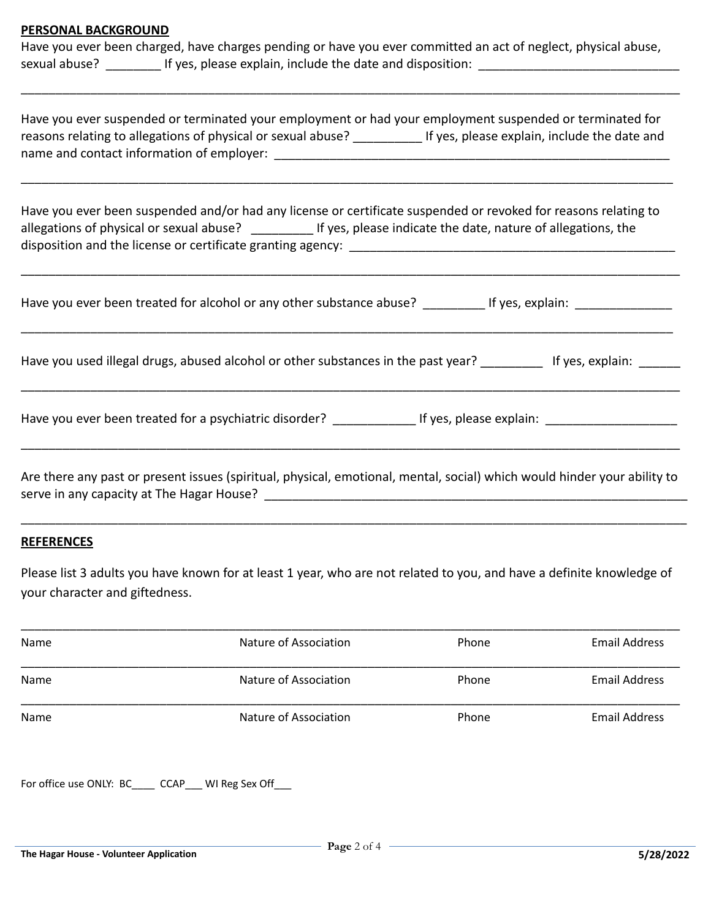#### **PERSONAL BACKGROUND**

 Have you ever been charged, have charges pending or have you ever committed an act of neglect, physical abuse, sexual abuse? \_\_\_\_\_\_\_\_ If yes, please explain, include the date and disposition: \_\_\_\_\_\_\_\_\_\_\_\_\_\_\_\_\_\_\_\_\_\_\_\_\_\_\_\_\_

\_\_\_\_\_\_\_\_\_\_\_\_\_\_\_\_\_\_\_\_\_\_\_\_\_\_\_\_\_\_\_\_\_\_\_\_\_\_\_\_\_\_\_\_\_\_\_\_\_\_\_\_\_\_\_\_\_\_\_\_\_\_\_\_\_\_\_\_\_\_\_\_\_\_\_\_\_\_\_\_\_\_\_\_\_\_\_\_\_\_\_\_\_\_\_

| Have you ever suspended or terminated your employment or had your employment suspended or terminated for<br>reasons relating to allegations of physical or sexual abuse?<br>If yes, please explain, include the date and<br>name and contact information of employer: |  |  |
|-----------------------------------------------------------------------------------------------------------------------------------------------------------------------------------------------------------------------------------------------------------------------|--|--|
| المفارك والمتحدث والمستحل والمستحدث والمارين والمتحدث والمتابعة والمتحدث والمستحدث والمستحدث والمستحدث والمستحدث والمستحدث                                                                                                                                            |  |  |

 Have you ever been suspended and/or had any license or certificate suspended or revoked for reasons relating to allegations of physical or sexual abuse? \_\_\_\_\_\_\_\_\_ If yes, please indicate the date, nature of allegations, the disposition and the license or certificate granting agency: \_\_\_\_\_\_\_\_\_\_\_\_\_\_\_\_\_\_\_\_\_\_\_\_\_\_\_\_\_\_\_\_\_\_\_\_\_\_\_\_\_\_\_\_\_\_\_

| Have you ever been treated for alcohol or any other substance abuse?              | If yes, explain: |
|-----------------------------------------------------------------------------------|------------------|
| Have you used illegal drugs, abused alcohol or other substances in the past year? | If yes, explain: |

\_\_\_\_\_\_\_\_\_\_\_\_\_\_\_\_\_\_\_\_\_\_\_\_\_\_\_\_\_\_\_\_\_\_\_\_\_\_\_\_\_\_\_\_\_\_\_\_\_\_\_\_\_\_\_\_\_\_\_\_\_\_\_\_\_\_\_\_\_\_\_\_\_\_\_\_\_\_\_\_\_\_\_\_\_\_\_\_\_\_\_\_\_\_\_

Have you ever been treated for a psychiatric disorder? \_\_\_\_\_\_\_\_\_\_\_\_\_\_\_\_\_If yes, please explain: \_\_\_\_\_\_\_\_\_\_\_\_\_\_\_\_\_\_\_\_

 Are there any past or present issues (spiritual, physical, emotional, mental, social) which would hinder your ability to serve in any capacity at The Hagar House? \_\_\_\_\_\_\_\_\_\_\_\_\_\_\_\_\_\_\_\_\_\_\_\_\_\_\_\_\_\_\_\_\_\_\_\_\_\_\_\_\_\_\_\_\_\_\_\_\_\_\_\_\_\_\_\_\_\_\_\_\_

\_\_\_\_\_\_\_\_\_\_\_\_\_\_\_\_\_\_\_\_\_\_\_\_\_\_\_\_\_\_\_\_\_\_\_\_\_\_\_\_\_\_\_\_\_\_\_\_\_\_\_\_\_\_\_\_\_\_\_\_\_\_\_\_\_\_\_\_\_\_\_\_\_\_\_\_\_\_\_\_\_\_\_\_\_\_\_\_\_\_\_\_\_\_\_\_

\_\_\_\_\_\_\_\_\_\_\_\_\_\_\_\_\_\_\_\_\_\_\_\_\_\_\_\_\_\_\_\_\_\_\_\_\_\_\_\_\_\_\_\_\_\_\_\_\_\_\_\_\_\_\_\_\_\_\_\_\_\_\_\_\_\_\_\_\_\_\_\_\_\_\_\_\_\_\_\_\_\_\_\_\_\_\_\_\_\_\_\_\_\_\_

### **REFERENCES**

 Please list 3 adults you have known for at least 1 year, who are not related to you, and have a definite knowledge of your character and giftedness.

| Name | Nature of Association | Phone | <b>Email Address</b> |  |
|------|-----------------------|-------|----------------------|--|
| Name | Nature of Association | Phone | <b>Email Address</b> |  |
| Name | Nature of Association | Phone | <b>Email Address</b> |  |

For office use ONLY: BC\_\_\_\_ CCAP\_\_\_ WI Reg Sex Off\_\_\_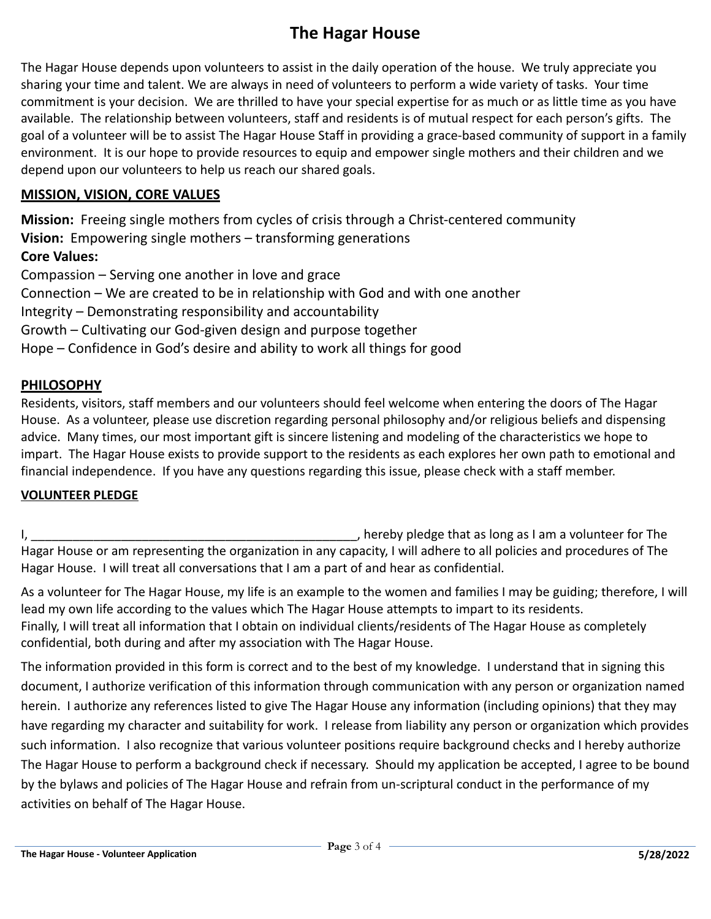# **The Hagar House**

 The Hagar House depends upon volunteers to assist in the daily operation of the house. We truly appreciate you sharing your time and talent. We are always in need of volunteers to perform a wide variety of tasks. Your time commitment is your decision. We are thrilled to have your special expertise for as much or as little time as you have available. The relationship between volunteers, staff and residents is of mutual respect for each person's gifts. The goal of a volunteer will be to assist The Hagar House Staff in providing a grace-based community of support in a family environment. It is our hope to provide resources to equip and empower single mothers and their children and we depend upon our volunteers to help us reach our shared goals.

## **MISSION, VISION, CORE VALUES**

 **Mission:** Freeing single mothers from cycles of crisis through a Christ-centered community  **Vision:** Empowering single mothers – transforming generations  **Core Values:**  Compassion – Serving one another in love and grace Connection – We are created to be in relationship with God and with one another Integrity – Demonstrating responsibility and accountability

Growth – Cultivating our God-given design and purpose together

Hope – Confidence in God's desire and ability to work all things for good

## **PHILOSOPHY**

 Residents, visitors, staff members and our volunteers should feel welcome when entering the doors of The Hagar House. As a volunteer, please use discretion regarding personal philosophy and/or religious beliefs and dispensing advice. Many times, our most important gift is sincere listening and modeling of the characteristics we hope to impart. The Hagar House exists to provide support to the residents as each explores her own path to emotional and financial independence. If you have any questions regarding this issue, please check with a staff member.

## **VOLUNTEER PLEDGE**

 I, \_\_\_\_\_\_\_\_\_\_\_\_\_\_\_\_\_\_\_\_\_\_\_\_\_\_\_\_\_\_\_\_\_\_\_\_\_\_\_\_\_\_\_\_\_\_\_, hereby pledge that as long as I am a volunteer for The Hagar House or am representing the organization in any capacity, I will adhere to all policies and procedures of The Hagar House. I will treat all conversations that I am a part of and hear as confidential.

 As a volunteer for The Hagar House, my life is an example to the women and families I may be guiding; therefore, I will lead my own life according to the values which The Hagar House attempts to impart to its residents. Finally, I will treat all information that I obtain on individual clients/residents of The Hagar House as completely confidential, both during and after my association with The Hagar House.

 The information provided in this form is correct and to the best of my knowledge. I understand that in signing this document, I authorize verification of this information through communication with any person or organization named herein. I authorize any references listed to give The Hagar House any information (including opinions) that they may have regarding my character and suitability for work. I release from liability any person or organization which provides such information. I also recognize that various volunteer positions require background checks and I hereby authorize The Hagar House to perform a background check if necessary. Should my application be accepted, I agree to be bound by the bylaws and policies of The Hagar House and refrain from un-scriptural conduct in the performance of my activities on behalf of The Hagar House.